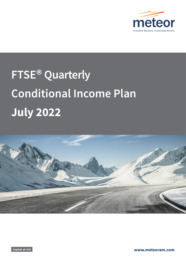

# **FTSE® Quarterly Conditional Income Plan July 2022**



**Capital-at-risk www.meteoram.com**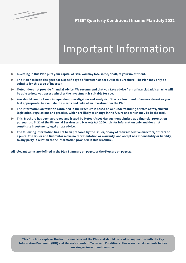

§

**FTSE® Quarterly Conditional Income Plan July 2022**

# Important Information

- ▶ **Investing in this Plan puts your capital at risk. You may lose some, or all, of your investment.**
- ▶ **The Plan has been designed for a specific type of investor, as set out in this Brochure. The Plan may only be suitable for this type of investor.**
- ▶ **Meteor does not provide financial advice. We recommend that you take advice from a financial adviser, who will be able to help you assess whether the investment is suitable for you.**
- ▶ **You should conduct such independent investigation and analysis of the tax treatment of an investment as you feel appropriate, to evaluate the merits and risks of an investment in the Plan.**
- ▶ **The information on taxation contained in the Brochure is based on our understanding of rates of tax, current legislation, regulations and practice, which are likely to change in the future and which may be backdated.**
- ▶ **This Brochure has been approved and issued by Meteor Asset Management Limited as a financial promotion pursuant to S. 21 of the Financial Services and Markets Act 2000. It is for information only and does not constitute investment, legal or tax advice.**
- ▶ **The following information has not been prepared by the Issuer, or any of their respective directors, officers or agents. The Issuer and Guarantor make no representation or warranty, and accept no responsibility or liability, to any party in relation to the information provided in this Brochure.**

**All relevant terms are defined in the Plan Summary on page 1 or the Glossary on page 21.**

**This Brochure explains the features and risks of the Plan and should be read in conjunction with the Key Information Document (KID) and Meteor's standard Terms and Conditions. Please read all documents before making an investment decision.**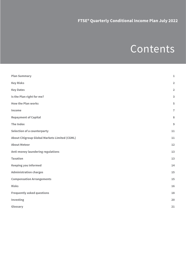# Contents

| <b>Plan Summary</b>                                  | $\mathbf 1$             |
|------------------------------------------------------|-------------------------|
| <b>Key Risks</b>                                     | $\overline{\mathbf{2}}$ |
| <b>Key Dates</b>                                     | $\overline{\mathbf{2}}$ |
| Is the Plan right for me?                            | 3                       |
| <b>How the Plan works</b>                            | 5                       |
| Income                                               | $\overline{7}$          |
| <b>Repayment of Capital</b>                          | 8                       |
| <b>The Index</b>                                     | 9                       |
| <b>Selection of a counterparty</b>                   | 11                      |
| <b>About Citigroup Global Markets Limited (CGML)</b> | 11                      |
| <b>About Meteor</b>                                  | 12                      |
| Anti-money laundering regulations                    | 13                      |
| <b>Taxation</b>                                      | 13                      |
| <b>Keeping you informed</b>                          | 14                      |
| <b>Administration charges</b>                        | 15                      |
| <b>Compensation Arrangements</b>                     | 15                      |
| <b>Risks</b>                                         | 16                      |
| <b>Frequently asked questions</b>                    | 18                      |
| Investing                                            | 20                      |
| Glossary                                             | 21                      |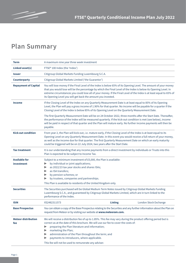

# **Plan Summary**

| <b>Term</b>                        | A maximum nine year three week investment                                                                                                                                                                                                                                                                                                                                                                                                   |                |                       |
|------------------------------------|---------------------------------------------------------------------------------------------------------------------------------------------------------------------------------------------------------------------------------------------------------------------------------------------------------------------------------------------------------------------------------------------------------------------------------------------|----------------|-----------------------|
| <b>Linked asset(s)</b>             | FTSE® 100 Index (the 'Index')                                                                                                                                                                                                                                                                                                                                                                                                               |                |                       |
| <b>Issuer</b>                      | Citigroup Global Markets Funding Luxembourg S.C.A.                                                                                                                                                                                                                                                                                                                                                                                          |                |                       |
| <b>Counterparty</b>                | Citigroup Global Markets Limited ('the Guarantor')                                                                                                                                                                                                                                                                                                                                                                                          |                |                       |
| <b>Repayment of Capital</b>        | You will lose money if the Final Level of the Index is below 65% of its Opening Level. The amount of your money<br>that you would lose will be the percentage by which the Final Level of the Index is below its Opening Level. In<br>extreme circumstances you could lose all of your money. If the Final Level of the Index is at least equal to 65% of<br>its Opening Level you will get back the amount you invested.                   |                |                       |
| <b>Income</b>                      | If the Closing Level of the Index on any Quarterly Measurement Date is at least equal to 85% of its Opening<br>Level, the Plan will pay a gross income of 1.90% for that quarter. No income will be payable for a quarter if the<br>Closing Level of the Index is below 85% of its Opening Level on the Quarterly Measurement Date.                                                                                                         |                |                       |
|                                    | The first Quarterly Measurement Date will be on 24 October 2022, three months after the Start Date. Thereafter,<br>the performance of the Index will be measured quarterly. If the kick-out condition is met (see below), income<br>will be paid in respect of that quarter and the Plan will mature early. No further income payments will then be<br>payable.                                                                             |                |                       |
| <b>Kick-out condition</b>          | From year 2, the Plan will kick-out, i.e. mature early, if the Closing Level of the Index is at least equal to its<br>Opening Level on any Quarterly Measurement Date. In this event you would receive a full return of your money,<br>as well as the income due for that quarter. The first Quarterly Measurement Date on which an early maturity<br>could be triggered will be on 22 July 2024, two years after the Start Date.           |                |                       |
| <b>Tax treatment</b>               | It is our understanding that any income payments from a direct investment by individuals or Trusts into this<br>Plan is expected to be subject to Income Tax.                                                                                                                                                                                                                                                                               |                |                       |
| <b>Available for</b><br>investment | Subject to a minimum investment of £5,000, the Plan is available:<br>by individual or joint applications;<br>▶<br>as 2022/23 tax year stocks and shares ISAs;<br>▶<br>as ISA transfers;<br>▶<br>by pension schemes; or<br>▶<br>by trustees, companies and partnerships.<br>This Plan is available to residents of the United Kingdom only.                                                                                                  |                |                       |
| <b>Securities</b>                  | The Securities purchased will be Global Medium Term Notes issued by Citigroup Global Markets Funding<br>Luxembourg S.C.A., and guaranteed by Citigroup Global Markets Limited, which are in turn linked to the<br>performance of the Index.                                                                                                                                                                                                 |                |                       |
| <b>ISIN</b>                        | XS2482311573                                                                                                                                                                                                                                                                                                                                                                                                                                | <b>Listing</b> | London Stock Exchange |
| <b>Base Prospectus</b>             | You can obtain a copy of the Base Prospectus relating to the Securities and any further information about the Plan on<br>request from Meteor or by visiting our website at www.meteoram.com.                                                                                                                                                                                                                                                |                |                       |
| <b>Meteor distribution</b><br>fee  | We will receive a distribution fee of up to 1.85%. This fee may vary during the product offering period but is<br>correct as at the date of this brochure. We will use our fee to cover the costs of:<br>preparing the Plan literature and information;<br>marketing the Plan;<br>administration of the Plan throughout the term; and<br>payments to introducers, where applicable.<br>This fee will not be used to remunerate any adviser. |                |                       |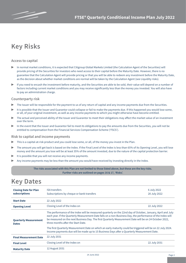# **Key Risks**

### **Access to capital**

- In normal market conditions, it is expected that Citigroup Global Markets Limited (the Calculation Agent of the Securities) will provide pricing of the Securities for investors who need access to their capital before the Maturity Date. However, there is no guarantee that the Calculation Agent will provide pricing or that you will be able to redeem any investment before the Maturity Date, as the decision about whether market conditions are normal will be taken by the Calculation Agent (see Liquidity risks).
- ▶ If you need to encash the investment before maturity, and the Securities are able to be sold, their value will depend on a number of factors including current market conditions and you may receive significantly less than the money you invested. You will also have to pay an administration charge.

#### **Counterparty risk**

- The Issuer will be responsible for the payment to us of any return of capital and any income payments due from the Securities.
- It is possible that the Issuer and Guarantor could collapse or fail to make the payments due. If this happened you would lose some, or all, of your original investment, as well as any income payments to which you might otherwise have become entitled.
- The actual and perceived ability of the Issuer and Guarantor to meet their obligations may affect the market value of an investment over the term.
- In the event that the Issuer and Guarantor fail to meet its obligations to pay the amounts due from the Securities, you will not be entitled to compensation from the Financial Services Compensation Scheme ('FSCS').

#### **Risk to capital and income payments**

- This is a capital-at-risk product and you could lose some, or all, of the money you invest in the Plan.
- The amount you will get back is based on the Index. If the Final Level of the Index is less than 65% of its Opening Level, you will lose money and the amount you lose will be at least 35% of the amount invested, due to the nature of the capital protection barrier.
- It is possible that you will not receive any income payments.
- Any income payments may be less than the amount you would have received by investing directly in the Index.

#### **The risks associated with this Plan are not limited to those listed above, but these are the key risks. Further risks are outlined on pages 16 & 17, 'Risks'.**

### **Key Dates**

| <b>Closing Date for Plan</b><br>subscriptions | <b>ISA transfers</b><br>6 July 2022<br>Subscriptions by cheque or bank transfers<br>20 July 2022                                                                                                                                                                                                                                                                                                                                                                                          |              |  |  |
|-----------------------------------------------|-------------------------------------------------------------------------------------------------------------------------------------------------------------------------------------------------------------------------------------------------------------------------------------------------------------------------------------------------------------------------------------------------------------------------------------------------------------------------------------------|--------------|--|--|
| <b>Start Date</b>                             | 22 July 2022                                                                                                                                                                                                                                                                                                                                                                                                                                                                              |              |  |  |
| <b>Opening Level</b>                          | Closing Level of the Index on<br>22 July 2022                                                                                                                                                                                                                                                                                                                                                                                                                                             |              |  |  |
| <b>Quarterly Measurement</b><br><b>Dates</b>  | The performance of the Index will be measured quarterly on the 22nd day of October, January, April and July<br>each year. If the Quarterly Measurement Date falls on a non-Business Day, the performance of the Index will<br>be measured on the next Business Day. The first Quarterly Measurement Date will be on 24 October 2022,<br>three months after the Start Date.<br>The first Quarterly Measurement Date on which an early maturity could be triggered will be on 22 July 2024. |              |  |  |
|                                               | Income payments due will be made up to 15 Business Days after a Quarterly Measurement Date.                                                                                                                                                                                                                                                                                                                                                                                               |              |  |  |
| <b>Final Measurement Date</b>                 | 22 July 2031                                                                                                                                                                                                                                                                                                                                                                                                                                                                              |              |  |  |
| <b>Final Level</b>                            | Closing Level of the Index on                                                                                                                                                                                                                                                                                                                                                                                                                                                             | 22 July 2031 |  |  |
| <b>Maturity Date</b>                          | 12 August 2031                                                                                                                                                                                                                                                                                                                                                                                                                                                                            |              |  |  |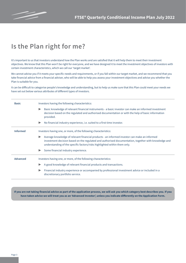

# **Is the Plan right for me?**

It's important to us that investors understand how the Plan works and are satisfied that it will help them to meet their investment objectives. We know that this Plan won't be right for everyone, and we have designed it to meet the investment objectives of investors with certain investment characteristics, which we call our 'target market'.

We cannot advise you if it meets your specific needs and requirements, or if you fall within our target market, and we recommend that you take financial advice from a financial adviser, who will be able to help you assess your investment objectives and advise you whether the Plan is suitable for you.

It can be difficult to categorise people's knowledge and understanding, but to help us make sure that this Plan could meet your needs we have set out below various attributes of different types of investors.

| <b>Basic</b>    | Investors having the following characteristics:                                                                                                                                                                                                                                                            |  |  |  |  |
|-----------------|------------------------------------------------------------------------------------------------------------------------------------------------------------------------------------------------------------------------------------------------------------------------------------------------------------|--|--|--|--|
|                 | Basic knowledge of relevant financial instruments - a basic investor can make an informed investment<br>$\blacktriangleright$<br>decision based on the regulated and authorised documentation or with the help of basic information<br>provided.                                                           |  |  |  |  |
|                 | No financial industry experience, i.e. suited to a first time investor.<br>$\blacktriangleright$                                                                                                                                                                                                           |  |  |  |  |
| <b>Informed</b> | Investors having one, or more, of the following characteristics:                                                                                                                                                                                                                                           |  |  |  |  |
|                 | Average knowledge of relevant financial products - an informed investor can make an informed<br>$\blacktriangleright$<br>investment decision based on the regulated and authorised documentation, together with knowledge and<br>understanding of the specific factors/risks highlighted within them only. |  |  |  |  |
|                 | Some financial industry experience.                                                                                                                                                                                                                                                                        |  |  |  |  |
| <b>Advanced</b> | Investors having one, or more, of the following characteristics:                                                                                                                                                                                                                                           |  |  |  |  |
|                 | A good knowledge of relevant financial products and transactions.<br>▶                                                                                                                                                                                                                                     |  |  |  |  |
|                 | Financial industry experience or accompanied by professional investment advice or included in a<br>discretionary portfolio service.                                                                                                                                                                        |  |  |  |  |

**If you are not taking financial advice as part of the application process, we will ask you which category best describes you. If you have taken advice we will treat you as an 'Advanced Investor', unless you indicate differently on the Application Form.**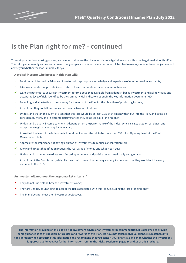

# **Is the Plan right for me? - continued**

To assist your decision making process, we have set out below the characteristics of a typical investor within the target market for this Plan. This is for guidance only and we recommend that you speak to a financial adviser, who will be able to assess your investment objectives and advise you whether the Plan is suitable for you.

**A typical investor who invests in this Plan will:**

- ü Be either an Informed or Advanced Investor, with appropriate knowledge and experience of equity-based investments;
- $\checkmark$  Like investments that provide known returns based on pre-determined market outcomes;
- $\checkmark$  Want the potential to secure an investment return above that available from a deposit-based investment and acknowledge and accept the level of risk, identified by the Summary Risk Indicator set out in the Key Information Document (KID);
- Be willing and able to tie up their money for the term of the Plan for the objective of producing income;
- $\checkmark$  Accept that they could lose money and be able to afford to do so;
- ü Understand that in the event of a loss that this loss would be at least 35% of the money they put into the Plan, and could be considerably more, and in extreme circumstances they could lose all of their money;
- ü Understand that any income payment is dependent on the performance of the Index, which is calculated on set dates, and accept they might not get any income at all;
- ü Know that the level of the Index can fall but do not expect the fall to be more than 35% of its Opening Level at the Final Measurement Date;
- ü Appreciate the importance of having a spread of investments to reduce concentration risk;
- Know and accept that inflation reduces the real value of money and what it can buy;
- $\checkmark$  Understand that equity markets are affected by economic and political events nationally and globally;
- $\checkmark$  Accept that if the Counterparty defaults they could lose all their money and any income and that they would not have any recourse to the FSCS.

**An investor will not meet the target market criteria if:**

- $\star$  They do not understand how this investment works;
- û They are unable, or unwilling, to accept the risks associated with this Plan, including the loss of their money;
- $\boldsymbol{\ast}$  The Plan does not meet their investment objectives.

**The information provided on this page is not investment advice or an investment recommendation. It is designed to provide some guidance as to the possible future risks and rewards of this Plan. We have not taken individual client circumstances into consideration when producing this information and recommend that you consult your financial adviser on whether this investment is appropriate for you. For further information, refer to the 'Risks' section on pages 16 and 17 of this Brochure.**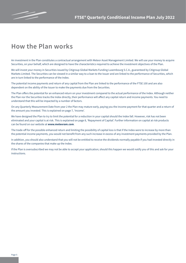

# **How the Plan works**

An investment in the Plan constitutes a contractual arrangement with Meteor Asset Management Limited. We will use your money to acquire Securities, on your behalf, which are designed to have the characteristics required to achieve the investment objectives of the Plan.

We will invest your money in Securities issued by Citigroup Global Markets Funding Luxembourg S.C.A., guaranteed by Citigroup Global Markets Limited. The Securities can be viewed in a similar way to a loan to the Issuer and are linked to the performance of Securities, which are in turn linked to the performance of the Index.

The potential income payments and return of any capital from the Plan are linked to the performance of the FTSE 100 and are also dependent on the ability of the Issuer to make the payments due from the Securities.

The Plan offers the potential for an enhanced return on your investment compared to the actual performance of the Index. Although neither the Plan nor the Securities tracks the Index directly, their performance will affect any capital return and income payments. You need to understand that this will be impacted by a number of factors.

On any Quarterly Measurement Date from year 2 the Plan may mature early, paying you the income payment for that quarter and a return of the amount you invested. This is explained on page 7, 'Income'.

We have designed the Plan to try to limit the potential for a reduction in your capital should the Index fall. However, risk has not been eliminated and your capital is at risk. This is explained on page 8, 'Repayment of Capital'. Further information on capital at risk products can be found on our website at **www.meteoram.com**.

The trade-off for the possible enhanced return and limiting the possibility of capital loss is that if the Index were to increase by more than the potential income payments, you would not benefit from any such increase in excess of any investment payments provided by the Plan.

In addition, you should also understand that you will not be entitled to receive the dividends normally payable if you had invested directly in the shares of the companies that make up the Index.

If the Plan is oversubscribed we may not be able to accept your application; should this happen we would notify you of this and ask for your instructions.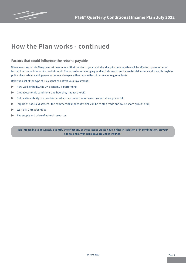

### **How the Plan works - continued**

#### **Factors that could influence the returns payable**

When investing in this Plan you must bear in mind that the risk to your capital and any income payable will be affected by a number of factors that shape how equity markets work. These can be wide ranging, and include events such as natural disasters and wars, through to political uncertainty and general economic changes, either here in the UK or on a more global basis.

Below is a list of the type of issues that can affect your investment:

- $\blacktriangleright$  How well, or badly, the UK economy is performing;
- $\triangleright$  Global economic conditions and how they impact the UK;
- ▶ Political instability or uncertainty which can make markets nervous and share prices fall;
- ▶ Impact of natural disasters the commercial impact of which can be to stop trade and cause share prices to fall;
- ▶ War/civil unrest/conflict;
- The supply and price of natural resources.

**It is impossible to accurately quantify the effect any of these issues would have, either in isolation or in combination, on your capital and any income payable under the Plan.**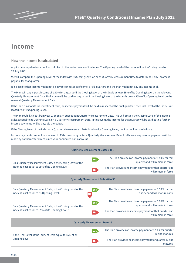

### **Income**

#### **How the income is calculated**

Any income payable from the Plan is linked to the performance of the Index. The Opening Level of the Index will be its Closing Level on 22 July 2022.

We will compare the Opening Level of the Index with its Closing Level on each Quarterly Measurement Date to determine if any income is payable for that quarter.

It is possible that income might not be payable in respect of some, or all, quarters and the Plan might not pay any income at all.

The Plan will pay a gross income of 1.90% for a quarter if the Closing Level of the Index is at least 85% of its Opening Level on the relevant Quarterly Measurement Date. No income will be paid for a quarter if the Closing Level of the Index is below 85% of its Opening Level on the relevant Quarterly Measurement Date.

If the Plan runs for its full investment term, an income payment will be paid in respect of the final quarter if the Final Level of the Index is at least 85% of its Opening Level.

The Plan could kick out from year 2, or on any subsequent Quarterly Measurement Date. This will occur if the Closing Level of the Index is at least equal to its Opening Level on a Quarterly Measurement Date. In this event, the income for that quarter will be paid but no further income payments will be payable thereafter.

If the Closing Level of the Index on a Quarterly Measurement Date is below its Opening Level, the Plan will remain in force.

Income payments due will be made up to 15 business days after a Quarterly Measurement Date. In all cases, any income payments will be made by bank transfer directly into your nominated bank account.

| <b>Quarterly Measurement Dates 1 to 7</b>                                                                  |                                                                                                                    |  |  |  |
|------------------------------------------------------------------------------------------------------------|--------------------------------------------------------------------------------------------------------------------|--|--|--|
| On a Quarterly Measurement Date, is the Closing Level of the                                               | The Plan provides an income payment of 1.90% for that<br><b>Yes</b><br>quarter and will remain in force.           |  |  |  |
| Index at least equal to 85% of its Opening Level?                                                          | The Plan provides no income payment for that quarter and<br><b>No</b><br>will remain in force.                     |  |  |  |
| <b>Quarterly Measurement Dates 8 to 35</b>                                                                 |                                                                                                                    |  |  |  |
| On a Quarterly Measurement Date, is the Closing Level of the<br>Index at least equal to its Opening Level? | The Plan provides an income payment of 1.90% for that<br><b>Yes</b><br>quarter and will mature early.<br><b>No</b> |  |  |  |
| On a Quarterly Measurement Date, is the Closing Level of the                                               | The Plan provides an income payment of 1.90% for that<br><b>Yes</b><br>quarter and will remain in force.           |  |  |  |
| Index at least equal to 85% of its Opening Level?                                                          | The Plan provides no income payment for that quarter and<br><b>No</b><br>will remain in force.                     |  |  |  |
| <b>Quarterly Measurement Date 36</b>                                                                       |                                                                                                                    |  |  |  |
| Is the Final Level of the Index at least equal to 85% of its                                               | The Plan provides an income payment of 1.90% for quarter<br><b>Yes</b><br>36 and matures.                          |  |  |  |
| Opening Level?                                                                                             | The Plan provides no income payment for quarter 36 and<br><b>No</b><br>matures.                                    |  |  |  |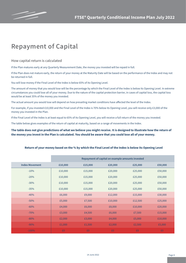

### **Repayment of Capital**

**How capital return is calculated**

If the Plan matures early at any Quarterly Measurement Date, the money you invested will be repaid in full.

If the Plan does not mature early, the return of your money at the Maturity Date will be based on the performance of the Index and may not be returned in full.

You will lose money if the Final Level of the Index is below 65% of its Opening Level.

The amount of money that you would lose will be the percentage by which the Final Level of the Index is below its Opening Level. In extreme circumstances you could lose all of your money. Due to the nature of the capital protection barrier, in cases of capital loss, the capital loss would be at least 35% of the money you invested.

The actual amount you would lose will depend on how prevailing market conditions have affected the level of the Index.

For example, if you invested £10,000 and the Final Level of the Index is 70% below its Opening Level, you will receive only £3,000 of the money you invested in the Plan.

If the Final Level of the Index is at least equal to 65% of its Opening Level, you will receive a full return of the money you invested.

The table below gives examples of the return of capital at maturity, based on a range of movements in the Index.

**The table does not give predictions of what we believe you might receive. It is designed to illustrate how the return of the money you invest in the Plan is calculated. You should be aware that you could lose all of your money.**

|  | Return of your money based on the % by which the Final Level of the Index is below its Opening Level |
|--|------------------------------------------------------------------------------------------------------|
|--|------------------------------------------------------------------------------------------------------|

|                       | Repayment of capital on example amounts invested |         |         |         |         |
|-----------------------|--------------------------------------------------|---------|---------|---------|---------|
| <b>Index Movement</b> | £10,000                                          | £15,000 | £20,000 | £25,000 | £50,000 |
| $-10%$                | £10,000                                          | £15,000 | £20,000 | £25,000 | £50,000 |
| $-20%$                | £10,000                                          | £15,000 | £20,000 | £25,000 | £50,000 |
| $-30%$                | £10,000                                          | £15,000 | £20,000 | £25,000 | £50,000 |
| $-35%$                | £10,000                                          | £15,000 | £20,000 | £25,000 | £50,000 |
| $-40%$                | £6,000                                           | £9,000  | £12,000 | £15,000 | £30,000 |
| $-50%$                | £5,000                                           | £7,500  | £10,000 | £12,500 | £25,000 |
| $-60%$                | £4,000                                           | £6,000  | £8,000  | £10,000 | £20,000 |
| $-70%$                | £3,000                                           | £4,500  | £6,000  | £7,500  | £15,000 |
| $-80%$                | £2,000                                           | £3,000  | £4,000  | £5,000  | £10,000 |
| $-90%$                | £1,000                                           | £1,500  | £2,000  | £2,500  | £5,000  |
| $-100%$               | £0                                               | £0      | £0      | £0      | £0      |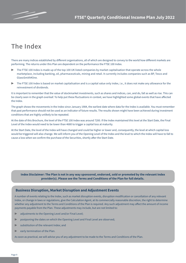# **The Index**

There are many indices established by different organisations, all of which are designed to convey to the world how different markets are performing. The returns under this Plan are dependent on the performance the FTSE 100 Index.

- The FTSE 100 Index is made up of the top 100 UK listed companies by market capitalisation that operate across the whole marketplace, including banking, oil, pharmaceuticals, mining and retail. It currently includes companies such as BP, Tesco and GlaxoSmithKline.
- The FTSE 100 Index is based on market capitalisation and is a capital value only index, i.e., it does not make any allowance for the reinvestment of dividends.

It is important to remember that the value of stockmarket investments, such as shares and indices, can, and do, fall as well as rise. This can be clearly seen in the graph overleaf. To help put these fluctuations in context, we have highlighted some global events that have affected the Index.

The graph shows the movements in the Index since January 1984, the earliest date where data for the Index is available. You must remember that past performance should not be used as an indicator of future results. The results shown might have been achieved during investment conditions that are highly unlikely to be repeated.

At the date of this Brochure, the level of the FTSE 100 Index was around 7200. If the Index maintained this level at the Start Date, the Final Level of the Index would need to be lower than 4680 to trigger a capital loss at maturity.

At the Start Date, the level of the Index will have changed and could be higher or lower and, consequently, the level at which capital loss would be triggered will also change. We will inform you of the Opening Level of the Index and the level to which the Index will have to fall to cause a loss when we confirm the purchase of the Securities, shortly after the Start Date.

**Index Disclaimer: The Plan is not in any way sponsored, endorsed, sold or promoted by the relevant Index provider(s). Please see the Terms and Conditions of the Plan for full details.** 

#### **Business Disruption, Market Disruption and Adjustment Events**

A number of events relating to the Index, such as market disruption events, disruption modification or cancellation of any relevant Index, or change in laws or regulations, give the Calculation Agent, at its commercially reasonable discretion, the right to determine whether any adjustment to the Terms and Conditions of the Plan is required. Any such adjustment may affect the amount of income payments payable from the Plan. These adjustments may include, but are not limited to:

- adjustments to the Opening Level and/or Final Level;
- postponing the dates on which the Opening Level and Final Level are observed;
- substitution of the relevant Index; and
- $\blacktriangleright$  early termination of the Plan.

As soon as practical, we will advise you of any adjustment to be made to the Terms and Conditions of the Plan.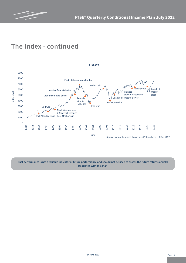

# **The Index - continued**



**Past performance is not a reliable indicator of future performance and should not be used to assess the future returns or risks associated with this Plan.**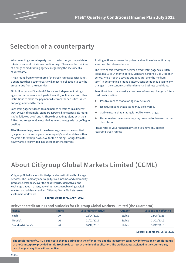

### **Selection of a counterparty**

When selecting a counterparty one of the factors you may wish to take into account is its issuer credit ratings. These are the opinions of a range of credit rating agencies regarding the security of a counterparty.

A high rating from one or more of the credit rating agencies is not a guarantee that a counterparty will meet its obligation to pay the amount due from the securities.

Fitch, Moody's and Standard & Poor's are independent ratings agencies that research and grade the ability of financial and other institutions to make the payments due from the securities issued and/or guaranteed by them.

Each rating agency describes and names its ratings in a different way. By way of example, Standard & Poor's highest possible rating is AAA, followed by AA and A. These three ratings along with their BBB rating are generally regarded as investment grade (i.e., of higher quality).

All of these ratings, except the AAA rating, can also be modified by a plus or a minus to give a counterparty's relative status within the grade; for example, A+, A, A- for the A rating. Ratings from BB downwards are provided in respect of other securities.

A rating outlook assesses the potential direction of a credit rating view over the intermediate term.

The term considered varies between credit rating agencies; Fitch looks at a 12 to 24 month period, Standard & Poor's a 6 to 24 month period, while Moody's says its outlooks are 'over the medium term'. In determining a rating outlook, consideration is given to any changes in the economic and fundamental business conditions.

An outlook is not necessarily a precursor of a rating change or future credit watch action.

- Positive means that a rating may be raised.
- Negative means that a rating may be lowered.
- ▶ Stable means that a rating is not likely to change.
- Under review means a rating may be raised or lowered in the short term.

Please refer to your financial adviser if you have any queries regarding credit ratings.

# **About Citigroup Global Markets Limited (CGML)**

Citigroup Global Markets Limited provides institutional brokerage services. The Company offers equity, fixed income, and commodity products across cash, over-the-counter (OTC) derivatives, and exchange traded markets, as well as investment banking capital markets and advisory services. Citigroup Global Markets serves customers worldwide.

#### **Source: Bloomberg, 5 April 2022**

#### **Relevant credit ratings and outlooks for Citigroup Global Markets Limited (the Guarantor)**

| Agency            | <b>Rating</b> | Date rating effective | Outlook       | Date outlook effective |
|-------------------|---------------|-----------------------|---------------|------------------------|
| Fitch             | A+            | 22/04/2020            | <b>Stable</b> | 12/05/2021             |
| Moody's           | A1            | 21/02/2019            | <b>Stable</b> | 21/02/2019             |
| Standard & Poor's | A+            | 16/12/2016            | <b>Stable</b> | 16/12/2016             |

**Source: Bloomberg, 08/06/2022** 

**The credit rating of CGML is subject to change during both the offer period and the investment term. Any information on credit ratings of the Counterparty provided in this Brochure is correct at the time of publication. The credit ratings assigned to the Counterparty can change at any time without notice.**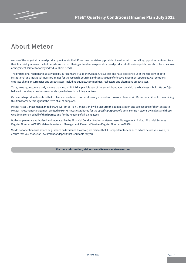

### **About Meteor**

As one of the largest structured product providers in the UK, we have consistently provided investors with compelling opportunities to achieve their financial goals over the last decade. As well as offering a standard range of structured products to the wider public, we also offer a bespoke arrangement service to satisfy individual client needs.

The professional relationships cultivated by our team are vital to the Company's success and have positioned us at the forefront of both institutional and individual investors' minds for the research, sourcing and construction of effective investment strategies. Our solutions embrace all major currencies and asset classes, including equities, commodities, real estate and alternative asset classes.

To us, treating customers fairly is more than just an FCA Principle; it is part of the sound foundation on which the business is built. We don't just believe in building a business relationship, we believe in building your trust.

Our aim is to produce literature that is clear and enables customers to easily understand how our plans work. We are committed to maintaining this transparency throughout the term of all of our plans.

Meteor Asset Management Limited (MAM) will act as Plan Manager, and will outsource the administration and safekeeping of client assets to Meteor Investment Management Limited (MIM). MIM was established for the specific purposes of administering Meteor's own plans and those we administer on behalf of third parties and for the keeping of all client assets.

Both companies are authorised and regulated by the Financial Conduct Authority. Meteor Asset Management Limited: Financial Services Register Number - 459325. Meteor Investment Management: Financial Services Register Number - 496880.

We do not offer financial advice or guidance on tax issues. However, we believe that it is important to seek such advice before you invest, to ensure that you choose an investment or deposit that is suitable for you.

**For more information, visit our website www.meteoram.com**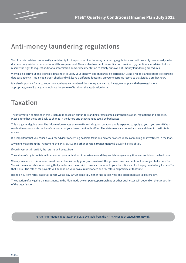

# **Anti-money laundering regulations**

Your financial adviser has to verify your identity for the purpose of anti-money laundering regulations and will probably have asked you for documentary evidence in order to fulfil this requirement. We are able to accept the verification provided by your financial adviser but we reserve the right to request additional information and/or documentation to satisfy our own anti-money laundering procedures.

We will also carry out an electronic data check to verify your identity. The check will be carried out using a reliable and reputable electronic database agency. This is not a credit check and will leave a different 'footprint' on your electronic record to that left by a credit check.

It is also important for us to know how you have accumulated the money you want to invest, to comply with these regulations. If appropriate, we will ask you to indicate the source of funds on the application form.

## **Taxation**

The information contained in this Brochure is based on our understanding of rates of tax, current legislation, regulations and practice. Please note that these are likely to change in the future and that changes could be backdated.

This is a general guide only. The information relates solely to United Kingdom taxation and is expected to apply to you if you are a UK tax resident investor who is the beneficial owner of your investment in this Plan. The statements are not exhaustive and do not constitute tax advice.

It is important that you consult your tax adviser concerning possible taxation and other consequences of making an investment in the Plan.

Any gains made from the investment by SIPPs, SSASs and other pension arrangement will usually be free of tax.

If you invest within an ISA, the returns will be tax free.

The values of any tax reliefs will depend on your individual circumstances and they could change at any time and could also be backdated.

When you invest in this income based product individually, jointly or via a trust, the gross income payments will be subject to Income Tax. You will be responsible for ensuring that you declare the receipt of any such income to your tax office and for the payment of any Income Tax that is due. The rate of tax payable will depend on your own circumstances and tax rates and practice at that time.

Based on current rates, basic tax payers would pay 20% income tax, higher rate payers 40% and additional rate taxpayers 45%.

The taxation of any gains on investments in the Plan made by companies, partnerships or other businesses will depend on the tax position of the organisation.

Further information about tax in the UK is available from the HMRC website at **www.hmrc.gov.uk.**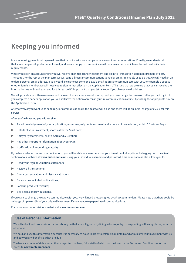

# **Keeping you informed**

In an increasingly electronic age we know that most investors are happy to receive online communications. Equally, we understand that some people still prefer paper format, and we are happy to communicate with our investors in whichever format best suits their requirements.

Where you open an account online you will receive an initial acknowledgement and an initial transaction statement from us by post. Thereafter, for the rest of the Plan term we will send all regular communications to you by email. To enable us to do this, we will need an up to date personal email address. If you would like us to use someone else's email address to communicate with you, for example a spouse or other family member, we will need you to sign to that effect on the Application Form. This is so that we are sure that you can receive the information we will send you - and for this reason it's important that you let us know if you change email address.

We will provide you with a username and password when your account is set up and you can change the password after you first log in. If you complete a paper application you will still have the option of receiving future communications online, by ticking the appropriate box on the Application Form.

Alternatively, if you want us to send regular communications in the post we will do so and there will be an initial charge of 0.25% for this service.

#### **After you've invested you will receive:**

- An acknowledgement of your application, a summary of your investment and a notice of cancellation, within 5 Business Days;
- Details of your investment, shortly after the Start Date:
- Half yearly statements, as at 5 April and 5 October;
- ▶ Any other important information about your Plan;
- ▶ Notification of impending maturity.

If you have selected online communications, you will be able to access details of your investment at any time, by logging onto the client section of our website at **www.meteoram.com** using your individual username and password. This online access also allows you to:

- Read your regular valuation statements;
- Review all transactions:
- Check current values and historic valuations;
- Receive product alert notifications;
- Look up product literature;
- $\triangleright$  See details of previous plans.

If you want to change the way we communicate with you, we will need a letter signed by all account holders. Please note that there could be a charge of up to 0.25% of your original investment if you change to paper-based communications.

For more information visit our website at **www.meteoram.com**

### **Use of Personal Information**

We will collect and process information about you that you will give us by filling in forms, or by corresponding with us by phone, email or otherwise.

We hold and use this information because it is necessary to do so in order to establish, maintain and administer your investment with us, and pay you any benefits as they are due.

You have a number of rights under the data protection laws, full details of which can be found in the Terms and Conditions or on our website **www.meteoram.com**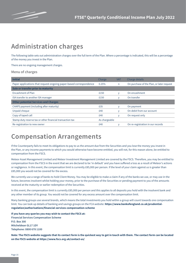

# **Administration charges**

The following table sets out administration charges over the full term of the Plan. Where a percentage is indicated, this will be a percentage of the money you invest in the Plan.

There are no ongoing management charges.

#### **Menu of charges**

| <b>Initial</b>                                                     | Charge        | <b>VAT</b> | Charge details                            |
|--------------------------------------------------------------------|---------------|------------|-------------------------------------------|
| Paper applications that request ongoing paper-based correspondence | 0.25%         | n          | On purchase of the Plan, or later request |
| Sale or transfer prior to maturity                                 |               |            |                                           |
| Encashment of Plan                                                 | £150          | V          | On encashment                             |
| ISA transfer to another ISA manager                                | £150          | ۷          | On transfer                               |
| <b>Other potential Services and Charges</b>                        |               |            |                                           |
| CHAPS payment (including after maturity)                           | £35           | y          | On payment                                |
| Unpaid cheque                                                      | £40           | ٧          | On debit from our account                 |
| Copy of taped call                                                 | £40           | V          | On request only                           |
| Stamp duty reserve tax or other financial transaction tax          | As chargeable |            |                                           |
| Re-registration to new owner                                       | £40           | v          | On re-registration in our records         |

### **Compensation Arrangements**

If the Counterparty fails to meet its obligations to pay to us the amount due from the Securities and you lose the money you invest in the Plan, or any income payments to which you would otherwise have become entitled, you will not, for this reason alone, be entitled to compensation from the FSCS.

Meteor Asset Management Limited and Meteor Investment Management Limited are covered by the FSCS. Therefore, you may be entitled to compensation from the FSCS in the event that we are declared to be 'in default' and you have suffered a loss as a result of Meteor's actions or negligence. In this event, the compensation limit is currently £85,000 per person. If the level of your claim against us is greater than £85,000 you would not be covered for the excess.

We currently use a range of banks to hold Client Money. You may be eligible to make a claim if any of the banks we use, or may use in the future, becomes insolvent whilst holding your money, prior to the purchase of the Securities or pending payment to you of the amounts received at the maturity or earlier redemption of the Securities.

In this event, the compensation limit is currently £85,000 per person and this applies to all deposits you hold with the insolvent bank and any other member of its group. You would not be covered for any excess amount over the compensation limit.

Many banking groups use several brands, which means the total investments you hold within a group will count towards one compensation limit. You can look up details of banking and savings groups on the FCA website: **https://www.bankofengland.co.uk/prudentialregulation/authorisations/financial-services-compensation-scheme**

**If you have any queries you may wish to contact the FSCS at: Financial Services Compensation Scheme P.O. Box 300 Mitcheldean GL17 1DY Telephone: 0800 678 1100**

**Note: The FSCS website suggests that its contact form is the quickest way to get in touch with them. The contact form can be located on the FSCS website at https://www.fscs.org.uk/contact-us/**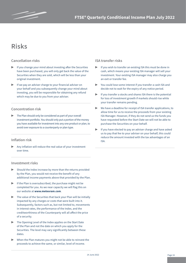# **Risks**

### **Cancellation risks**

- If you change your mind about investing after the Securities have been purchased, you will only get back the value of the Securities when they are sold, which will be less than your original investment.
- If we pay an adviser charge to your financial adviser on your behalf and you subsequently change your mind about investing, you will be responsible for obtaining any refund which may be due to you from your adviser.

### **Concentration risk**

The Plan should only be considered as part of your overall investment portfolio. You should only put a portion of the money you have available for investment into any one product or plan, to avoid over exposure to a counterparty or plan type.

### **Inflation risk**

Any inflation will reduce the real value of your investment over time.

### **Investment risks**

- $\triangleright$  Should the Index increase by more than the returns provided by the Plan, you would not receive the benefit of any additional income payments above that provided by the Plan.
- $\blacktriangleright$  If the Plan is oversubscribed, the purchase might not be completed for you. As we near capacity we will flag this on our website at **www.meteoram.com**.
- $\triangleright$  The value of the Securities that back your Plan will be initially impacted by any charges or costs that were built into it. Subsequently, factors such as, but not limited to, movements in interest rates, the performance of the Index, and the creditworthiness of the Counterparty will all affect the price of a security.
- ▶ The Opening Level of the Index applies on the Start Date of the Plan and not the date on which you apply for the Securities. The level may vary significantly between these dates.
- When the Plan matures you might not be able to reinvest the proceeds to achieve the same, or similar, level of income.

### **ISA transfer risks**

- If you wish to transfer an existing ISA this must be done in cash, which means your existing ISA manager will sell your investment. Your existing ISA manager may also charge you an exit or transfer fee.
- You could lose some interest if you transfer a cash ISA and decide not to wait for the expiry of any notice period.
- If you transfer a stocks and shares ISA there is the potential for loss of investment growth if markets should rise while your transfer remains pending.
- $\triangleright$  We have a deadline for receipt of ISA transfer applications, to allow time for us to receive the proceeds from your existing ISA Manager. However, if they do not send us the funds you have requested before the Start Date we will not be able to purchase the Securities on your behalf.
- If you have elected to pay an adviser charge and have asked us to pay that fee to your adviser on your behalf, this could reduce the amount invested with the tax advantages of an ISA.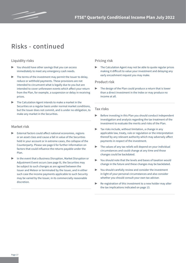

# **Risks - continued**

### **Liquidity risks**

- You should have other savings that you can access immediately to meet any emergency cash needs.
- The terms of the investment may permit the Issuer to delay, reduce or withhold payments. These provisions are not intended to circumvent what is legally due to you but are intended to cover unforeseen events which affect your return from the Plan, for example, a suspension or delay in receiving prices.
- The Calculation Agent intends to make a market in the Securities on a regular basis under normal market conditions, but the Issuer does not commit, and is under no obligation, to make any market in the Securities.

#### **Market risk**

- External factors could affect national economies, regions or an asset class and cause a fall in value of the Securities held in your account or in extreme cases, the collapse of the Counterparty. Please see page 6 for further information on factors that could influence the returns payable under the Plan.
- In the event that a Business Disruption, Market Disruption or Adjustment Event occurs (see page 9), the Securities may be subject to such changes as are agreed between the Issuer and Meteor or terminated by the Issuer, and in either such case the income payments applicable to such Security may be varied by the Issuer, in its commercially reasonable discretion.

#### **Pricing risk**

The Calculation Agent may not be able to quote regular prices making it difficult to value your investment and delaying any early encashment request you may make.

#### **Product risk**

The design of the Plan could produce a return that is lower than a direct investment in the Index or may produce no income at all.

#### **Tax risks**

- ▶ Before investing in this Plan you should conduct independent investigation and analysis regarding the tax treatment of the investment to evaluate the merits and risks of the Plan.
- $\blacktriangleright$  Tax risks include, without limitation, a change in any applicable law, treaty, rule or regulation or the interpretation thereof by any relevant authority which may adversely affect payments in respect of the investment.
- The values of any tax reliefs will depend on your individual circumstances and could change at any time and those changes could be backdated.
- You should note that the levels and bases of taxation would change in the future and these changes may be backdated.
- You should carefully review and consider the investment in light of your personal circumstances and also consider whether you should consult your own tax adviser.
- ▶ Re-registration of this investment to a new holder may alter the tax implications indicated on page 13.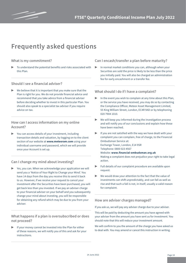

# **Frequently asked questions**

### **What is my commitment?**

To understand the potential benefits and risks associated with this Plan.

### **Should I see a financial adviser?**

We believe that it is important that you make sure that the Plan is right for you. We do not provide financial advice and recommend that you take advice from a financial adviser before deciding whether to invest in this particular Plan. You should also speak to a specialist tax adviser if you require advice on tax.

### **How can I access information on my online Account?**

You can access details of your investment, including transaction details and valuation, by logging on to the client section of our website at **www.meteoram.com** using your individual username and password, which we will provide once your Account is set up.

### **Can I change my mind about investing?**

Yes, you can. When we acknowledge your application we will send you a 'Notice of Your Right to Change your Mind'. You have 14 days from the day you receive this to send it back to us. However, if we receive your request to cancel your investment after the Securities have been purchased, you will get back less than you invested. If we pay an adviser charge to your financial adviser on your behalf and you subsequently change your mind about investing, you will be responsible for obtaining any refund which may be due to you from your adviser.

### **What happens if a plan is oversubscribed or does not proceed?**

If your money cannot be invested into the Plan for either of these reasons, we will notify you of this and ask for your instructions.

### **Can I encash/transfer a plan before maturity?**

In normal market conditions you can, although when your Securities are sold the price is likely to be less than the price you initially paid. You will also be charged an administration fee for early encashment or a transfer fee.

### **What should I do if I have a complaint?**

- In the event you wish to complain at any time about this Plan, or the service you have received, you may do so by contacting the Compliance Officer, Meteor Asset Management Limited, 55 King William Street, London, EC4R 9AD or by telephoning 020 7904 1010.
- ▶ We will keep you informed during the investigation process and will notify you of our conclusions and explain how these have been reached.
- If you are not satisfied with the way we have dealt with your complaint you can complain, free of charge, to the Financial Ombudsman Service at: Exchange Tower, London, E14 9SR Telephone: 0800 023 4567 Website: **www.financial-ombudsman.org.uk** Making a complaint does not prejudice your right to take legal action.
- Full details of our complaint procedure are available upon request.
- We would draw your attention to the fact that the value of investments can shift unpredictably, and can fall as well as rise and that such a fall is not, in itself, usually a valid reason for complaint.

### **How are adviser charges managed?**

If you ask us, we will pay any adviser charge due to your adviser.

This will be paid by deducting the amount you have agreed with your adviser from the amount you have sent us for investment. You should note that this will reduce your investment amount.

We will confirm to you the amount of the charge you have asked us to deal with. You may amend or cancel this instruction in writing.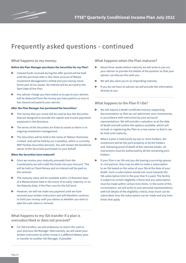

### **Frequently asked questions - continued**

#### **What happens to my money:**

#### **Before the Plan Manager purchases the Securities for my Plan?**

- ▶ Cleared funds received during the offer period will be held until the purchase date in the client account of Meteor Investment Management Limited and your money never forms part of our assets. No interest will be accrued to the Start Date of the Plan.
- Any adviser charge you have asked us to pay to your adviser, will be deducted from the money you have paid to us once it has cleared and paid to your adviser.

#### **After the Plan Manager has purchased the Securities?**

- $\triangleright$  The money that you invest will be used to buy the Securities that are designed to provide the capital and income payments explained in this Brochure.
- The terms of the Securities are fixed at outset so there is no ongoing investment management.
- The Securities will be held in the name of 'Meteor Nominees Limited' and will be held by our Custodian, which is currently BNP Paribas Securities Services. You will remain the beneficial owner of the Securities purchased on your behalf.

#### **When the Securities have matured?**

- Once we receive your maturity proceeds from the Counterparty we will credit the funds into your Account. This will be held as Client Money and no interest will be paid on this amount.
- The maturity value will be available within 15 Business Days of a Measurement Date in the event of an early maturity, or on the Maturity Date, if the Plan runs for the full term.
- $\blacktriangleright$  However, we will not make any payment until we have received your written instruction and will therefore continue to hold your money until you advise us whether you wish to take the cash value or reinvest.

**What happens to my ISA transfer if a plan is oversubscribed or does not proceed?**

For ISA transfers, we will endeavour to return the cash to your previous ISA Manager. Alternatively, we will await your written instruction to either invest in a different Meteor plan or transfer to another ISA Manager, if possible.

**What happens when the Plan matures?**

- About three weeks before maturity we will write to you via your adviser to provide full details of the position so that your adviser can discuss this with you.
- We will also alert you to an impending maturity.
- If you do not have an adviser we will provide the information directly to you.

#### **What happens to the Plan if I die?**

- ▶ We will require a death certificate and any supporting documentation so that we can administer your investments, in accordance with instruction by your personal representatives. We will provide a valuation as at the date of death and will outline the options available, which will include re-registering the Plan to a new owner so that it can be held until maturity.
- Where a plan is held jointly by two or more holders, the investment will be the joint property of all the holders and, following proof of death of the relevant holder, all instructions must be authorised by all the remaining joint holders.
- If your Plan is an ISA and you die leaving a surviving spouse or civil partner, they may be able to make a subscription to an ISA based on the value of your ISA at the date of your death. Such a subscription would not count towards the ISA subscription limit in the year that it is paid. The facility is subject to certain eligibility criteria and any subscription must be made within certain time limits. In the event of this circumstance, we will write to your personal representatives with full details of the eligibility criteria, how much can be subscribed, how the subscription can be made and any time limits that apply.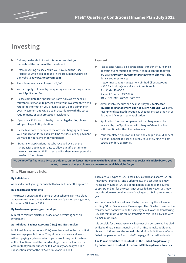

### **Investing**

- $\triangleright$  Before you decide to invest it is important that you understand the nature of the investment.
- Before investing please ensure you have read the Base Prospectus which can be found in the Document Centre on our website at **www.meteoram.com**.
- The minimum you can invest is £5,000.
- You can apply online or by completing and submitting a paper based Application Form.
- Please complete the Application Form fully, as we need all relevant information to proceed with your investment. We will retain the information you provide to set up and administer your investment and will do so in accordance with the strict requirements of data protection legislation.
- ▶ If you are a SSAS, trust, charity or other legal entity, please add your Legal Entity Identifier.
- ▶ Please take care to complete the Adviser Charging section of your application form, as this will be the basis of any payment we make to your adviser on your behalf.
- ISA transfer applications must be received by us by the 'ISA transfer application' date to allow us sufficient time to instruct the current ISA Manager and for them to complete the transfer of funds to us.

#### **Payment**

- Please send funds via electronic bank transfer. If your bank is operating Confirmation of Payee, it should confirm that you are paying **'Meteor Investment Management Limited'.** The details you require are: Meteor Investment Management Limited Client Account HSBC Bank plc - Queen Victoria Street Branch Sort Code: 40-05-30 Account Number: 13692752 IBAN: GB21MIDL40053013692752
- ▶ Alternatively, cheques can be made payable to **'Meteor Investment Management Limited Client Account'**. We highly recommend against this option as cheques increase the risk of delays and failures in your application.
- Application forms accompanied with a cheque must be received by the 'Application with cheques' date, to allow sufficient time for the cheque to clear.
- Your completed Application Form and cheque should be sent to your financial adviser or directly to us at 55 King William Street, London, EC4R 9AD.

**We do not offer financial advice or guidance on tax issues. However, we believe that it is important to seek such advice before you invest, to ensure that you choose an investment which is right for you.** 

#### **This Plan may be held:**

#### **By individuals**

As an individual, jointly, or on behalf of a child under the age of 18.

#### **By pension arrangements**

The trustees, subject to the terms of your scheme, can hold plans as a permitted investment within any type of pension arrangement, including a SIPP and a SSAS.

#### **By trustees/companies/partnerships**

Subject to relevant articles of association permitting such an investment.

#### **As Individual Savings Accounts (ISAs) and ISA transfers**

Individual Savings Accounts (ISAs) were launched in the UK in 1999 to encourage people to save. They allow you to save and invest without paying any tax on returns you make from your investment in the Plan. Because of the tax advantages there is a limit on the amount that you can subscribe to ISAs in any one tax year. The subscription limit for the 2022/23 tax year is £20,000.

There are four types of ISA - a cash ISA, a stocks and shares ISA, an Innovative Finance ISA and a Lifetime ISA. In a tax year you may invest in any type of ISA, or a combination, as long as the overall subscription limit for the year is not exceeded. However, you may not subscribe to more than one of each type of ISA in the same tax year.

You are also able to invest in an ISA by transferring the value of an existing ISA or ISAs to a new ISA manager. The ISA which receives the transfer does not have to be the same type of ISA as the transferring ISA. The minimum value for ISA transfers to this Plan is £5,000, with no maximum limit.

It is possible for the spouse or civil partner of a person who has died whilst holding an investment in an ISA or ISAs to make additional ISA subscriptions over the annual subscription limit. Please refer to "What happens to the Plan if I die?" on page 19 for further details.

**The Plan is available to residents of the United Kingdom only. If you become a resident of the United States, please inform us.**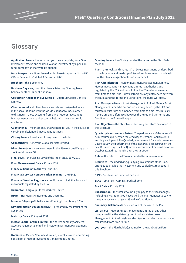

# **Glossary**

**Application Form –** the form that you must complete, for a Direct Investment, stocks and shares ISA or an investment by a pension fund, company or charity to be opened.

**Base Prospectus –** Notes issued under Base Prospectus No. 2 (UK) ("Base Prospectus") dated 3 December 2021.

**Brochure –** this document.

**Business Day –** any day other than a Saturday, Sunday, bank holiday or other UK public holiday.

**Calculation Agent of the Securities –** Citigroup Global Markets Limited.

**Client Account –** all client bank accounts are designated as such in the account name with the words 'client account', in order to distinguish those accounts from any of Meteor Investment Management's own bank accounts held with the same credit institution.

**Client Money –** means money that we hold for you in the course of carrying on designated investment business.

**Closing Level –** the official closing level of the Index.

**Counterparty –** Citigroup Global Markets Limited.

**Direct Investment –** an investment in the Plan not qualifying as a stocks and shares ISA.

**Final Level –** the Closing Level of the Index on 22 July 2031.

**Final Measurement Date –** 22 July 2031.

**Financial Conduct Authority –** the FCA.

**Financial Services Compensation Scheme** – the FSCS.

**Financial Services Register –** a public record of all the firms and individuals regulated by the FCA.

**Guarantor -** Citigroup Global Markets Limited.

**HMRC –** Her Majesty's Revenue and Customs.

**Issuer –** Citigroup Global Markets Funding Luxembourg S.C.A.

**Key Information Document (KID)** – prepared by the Issuer of the Securities.

**Maturity Date –** 12 August 2031.

**Meteor Capital Group Limited –** the parent company of Meteor Asset Management Limited and Meteor Investment Management Limited.

**Nominees –** Meteor Nominees Limited, a totally owned nontrading subsidiary of Meteor Investment Management Limited.

**Opening Level –** the Closing Level of the Index on the Start Date of the Plan.

**Plan –** the stocks and shares ISA or Direct Investment, as described in the Brochure and made up of Securities (investments) and cash that the Plan Manager handles on your behalf.

**Plan Administrator –** Meteor Investment Management Limited. Meteor Investment Management Limited is authorised and regulated by the FCA and must follow the FCA rules as amended from time to time ('the Rules'). If there are any differences between the Rules and the Terms and Conditions, the Rules will apply.

**Plan Manager –** Meteor Asset Management Limited. Meteor Asset Management Limited is authorised and regulated by the FCA and must follow its rules as amended from time to time ("the Rules"). If there are any differences between the Rules and the Terms and Conditions, the Rules will apply.

**Plan Objective –** the objective of securing the return described in this Brochure.

**Quarterly Measurement Dates** - The performance of the Index will be measured quarterly on the 22nd day of October, January, April and July each year. If the Quarterly Measurement Date falls on a non-Business Day, the performance of the Index will be measured on the next Business Day. The first Quarterly Measurement Date will be on 24 October 2022, three months after the Start Date.

**Rules –** the rules of the FCA as amended from time to time.

**Securities –** the underlying qualifying investments of the Plan, arranged to provide the investment and capital returns set out in this Brochure.

**SIPP** – Self-Invested Personal Pension.

**SSAS –** Small Self-Administered Scheme.

**Start Date –** 22 July 2022.

**Subscription - the total amount(s) you pay to the Plan Manager,** including any amount you have asked the Plan Manager to pay to meet any adviser charges outlined in Condition 8b.

**Summary Risk Indicator –** a measure of the risk in the Plan.

**we, us, our –** Meteor Asset Management Limited or any other company within the Meteor group to which Meteor Asset Management Limited's rights and obligations under these terms are transferred from time to time.

**you, your –** the Plan holder(s) named on the Application Form.